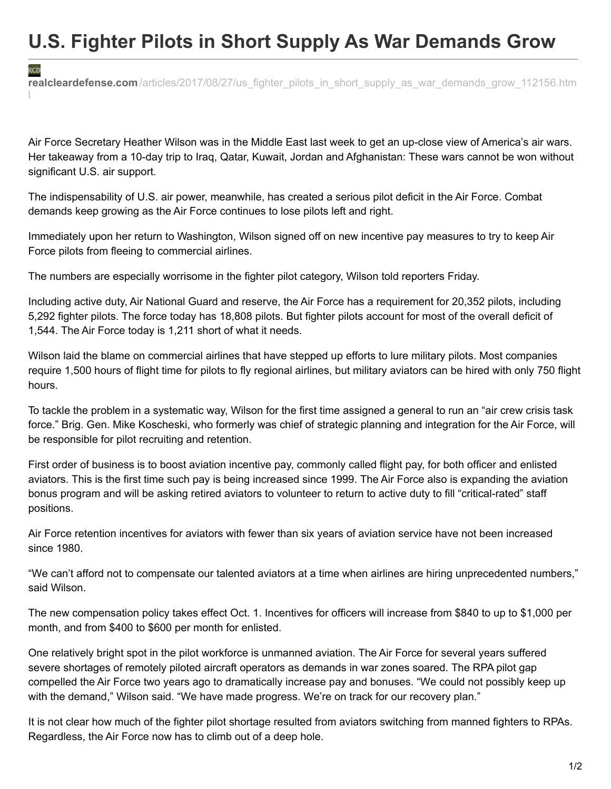## **U.S. Fighter Pilots in Short Supply As War Demands Grow**

**realcleardefense.com**/articles/2017/08/27/us fighter pilots in short supply as war demands grow 112156.htm l

Air Force Secretary Heather Wilson was in the Middle East last week to get an up-close view of America's air wars. Her takeaway from a 10-day trip to Iraq, Qatar, Kuwait, Jordan and Afghanistan: These wars cannot be won without significant U.S. air support.

The indispensability of U.S. air power, meanwhile, has created a serious pilot deficit in the Air Force. Combat demands keep growing as the Air Force continues to lose pilots left and right.

Immediately upon her return to Washington, Wilson signed off on new incentive pay measures to try to keep Air Force pilots from fleeing to commercial airlines.

The numbers are especially worrisome in the fighter pilot category, Wilson told reporters Friday.

RCD

Including active duty, Air National Guard and reserve, the Air Force has a requirement for 20,352 pilots, including 5,292 fighter pilots. The force today has 18,808 pilots. But fighter pilots account for most of the overall deficit of 1,544. The Air Force today is 1,211 short of what it needs.

Wilson laid the blame on commercial airlines that have stepped up efforts to lure military pilots. Most companies require 1,500 hours of flight time for pilots to fly regional airlines, but military aviators can be hired with only 750 flight hours.

To tackle the problem in a systematic way, Wilson for the first time assigned a general to run an "air crew crisis task force." Brig. Gen. Mike Koscheski, who formerly was chief of strategic planning and integration for the Air Force, will be responsible for pilot recruiting and retention.

First order of business is to boost aviation incentive pay, commonly called flight pay, for both officer and enlisted aviators. This is the first time such pay is being increased since 1999. The Air Force also is expanding the aviation bonus program and will be asking retired aviators to volunteer to return to active duty to fill "critical-rated" staff positions.

Air Force retention incentives for aviators with fewer than six years of aviation service have not been increased since 1980.

"We can't afford not to compensate our talented aviators at a time when airlines are hiring unprecedented numbers," said Wilson.

The new compensation policy takes effect Oct. 1. Incentives for officers will increase from \$840 to up to \$1,000 per month, and from \$400 to \$600 per month for enlisted.

One relatively bright spot in the pilot workforce is unmanned aviation. The Air Force for several years suffered severe shortages of remotely piloted aircraft operators as demands in war zones soared. The RPA pilot gap compelled the Air Force two years ago to dramatically increase pay and bonuses. "We could not possibly keep up with the demand," Wilson said. "We have made progress. We're on track for our recovery plan."

It is not clear how much of the fighter pilot shortage resulted from aviators switching from manned fighters to RPAs. Regardless, the Air Force now has to climb out of a deep hole.